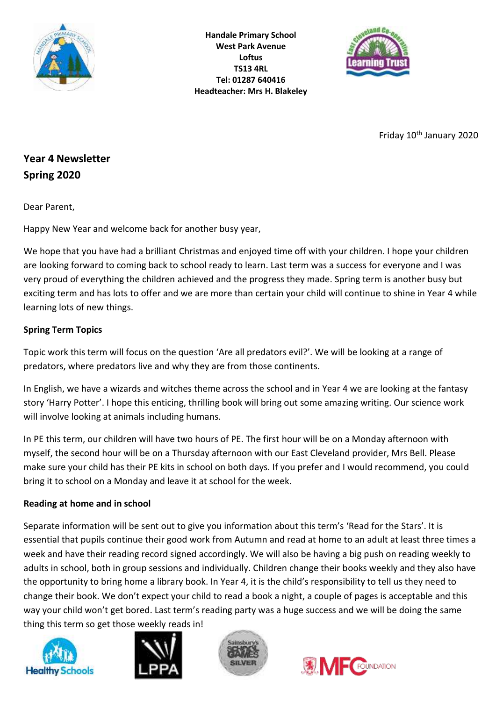

**Handale Primary School West Park Avenue Loftus TS13 4RL Tel: 01287 640416 Headteacher: Mrs H. Blakeley**



Friday 10<sup>th</sup> January 2020

# **Year 4 Newsletter Spring 2020**

Dear Parent,

Happy New Year and welcome back for another busy year,

We hope that you have had a brilliant Christmas and enjoyed time off with your children. I hope your children are looking forward to coming back to school ready to learn. Last term was a success for everyone and I was very proud of everything the children achieved and the progress they made. Spring term is another busy but exciting term and has lots to offer and we are more than certain your child will continue to shine in Year 4 while learning lots of new things.

# **Spring Term Topics**

Topic work this term will focus on the question 'Are all predators evil?'. We will be looking at a range of predators, where predators live and why they are from those continents.

In English, we have a wizards and witches theme across the school and in Year 4 we are looking at the fantasy story 'Harry Potter'. I hope this enticing, thrilling book will bring out some amazing writing. Our science work will involve looking at animals including humans.

In PE this term, our children will have two hours of PE. The first hour will be on a Monday afternoon with myself, the second hour will be on a Thursday afternoon with our East Cleveland provider, Mrs Bell. Please make sure your child has their PE kits in school on both days. If you prefer and I would recommend, you could bring it to school on a Monday and leave it at school for the week.

# **Reading at home and in school**

Separate information will be sent out to give you information about this term's 'Read for the Stars'. It is essential that pupils continue their good work from Autumn and read at home to an adult at least three times a week and have their reading record signed accordingly. We will also be having a big push on reading weekly to adults in school, both in group sessions and individually. Children change their books weekly and they also have the opportunity to bring home a library book. In Year 4, it is the child's responsibility to tell us they need to change their book. We don't expect your child to read a book a night, a couple of pages is acceptable and this way your child won't get bored. Last term's reading party was a huge success and we will be doing the same thing this term so get those weekly reads in!